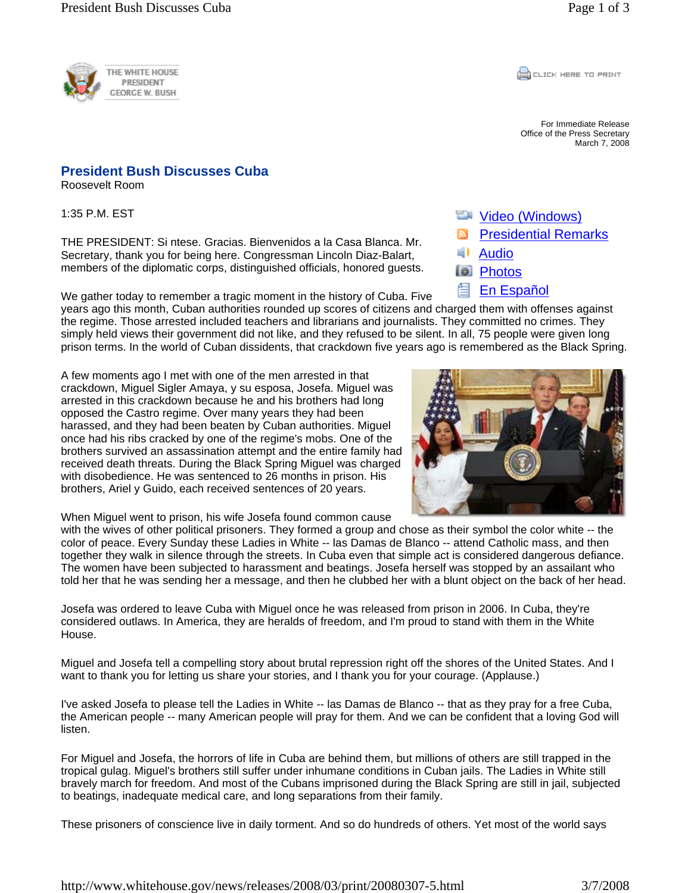

## **President Bush Discusses Cuba**

Roosevelt Room

1:35 P.M. EST

THE PRESIDENT: Si ntese. Gracias. Bienvenidos a la Casa Blanca. Mr. Secretary, thank you for being here. Congressman Lincoln Diaz-Balart, members of the diplomatic corps, distinguished officials, honored guests.

We gather today to remember a tragic moment in the history of Cuba. Five

years ago this month, Cuban authorities rounded up scores of citizens and charged them with offenses against the regime. Those arrested included teachers and librarians and journalists. They committed no crimes. They simply held views their government did not like, and they refused to be silent. In all, 75 people were given long prison terms. In the world of Cuban dissidents, that crackdown five years ago is remembered as the Black Spring.

A few moments ago I met with one of the men arrested in that crackdown, Miguel Sigler Amaya, y su esposa, Josefa. Miguel was arrested in this crackdown because he and his brothers had long opposed the Castro regime. Over many years they had been harassed, and they had been beaten by Cuban authorities. Miguel once had his ribs cracked by one of the regime's mobs. One of the brothers survived an assassination attempt and the entire family had received death threats. During the Black Spring Miguel was charged with disobedience. He was sentenced to 26 months in prison. His brothers, Ariel y Guido, each received sentences of 20 years.



**Wideo (Windows)** 

En Español

**Audio Photos** 

Presidential Remarks

When Miguel went to prison, his wife Josefa found common cause

with the wives of other political prisoners. They formed a group and chose as their symbol the color white -- the color of peace. Every Sunday these Ladies in White -- las Damas de Blanco -- attend Catholic mass, and then together they walk in silence through the streets. In Cuba even that simple act is considered dangerous defiance. The women have been subjected to harassment and beatings. Josefa herself was stopped by an assailant who told her that he was sending her a message, and then he clubbed her with a blunt object on the back of her head.

Josefa was ordered to leave Cuba with Miguel once he was released from prison in 2006. In Cuba, they're considered outlaws. In America, they are heralds of freedom, and I'm proud to stand with them in the White House.

Miguel and Josefa tell a compelling story about brutal repression right off the shores of the United States. And I want to thank you for letting us share your stories, and I thank you for your courage. (Applause.)

I've asked Josefa to please tell the Ladies in White -- las Damas de Blanco -- that as they pray for a free Cuba, the American people -- many American people will pray for them. And we can be confident that a loving God will listen.

For Miguel and Josefa, the horrors of life in Cuba are behind them, but millions of others are still trapped in the tropical gulag. Miguel's brothers still suffer under inhumane conditions in Cuban jails. The Ladies in White still bravely march for freedom. And most of the Cubans imprisoned during the Black Spring are still in jail, subjected to beatings, inadequate medical care, and long separations from their family.

These prisoners of conscience live in daily torment. And so do hundreds of others. Yet most of the world says

**CLICK HERE TO PRINT** 

For Immediate Release Office of the Press Secretary March 7, 2008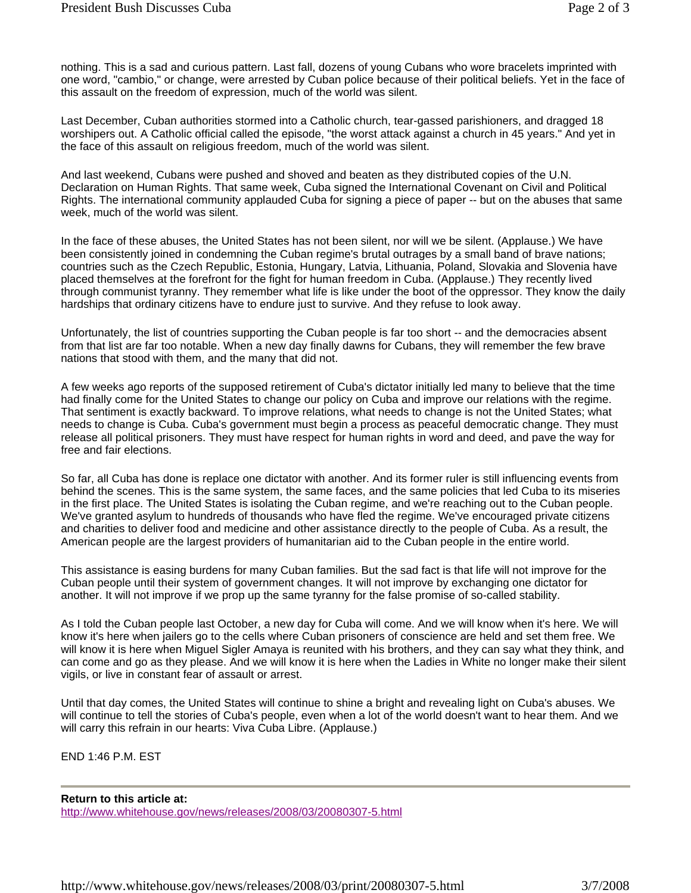nothing. This is a sad and curious pattern. Last fall, dozens of young Cubans who wore bracelets imprinted with one word, "cambio," or change, were arrested by Cuban police because of their political beliefs. Yet in the face of this assault on the freedom of expression, much of the world was silent.

Last December, Cuban authorities stormed into a Catholic church, tear-gassed parishioners, and dragged 18 worshipers out. A Catholic official called the episode, "the worst attack against a church in 45 years." And yet in the face of this assault on religious freedom, much of the world was silent.

And last weekend, Cubans were pushed and shoved and beaten as they distributed copies of the U.N. Declaration on Human Rights. That same week, Cuba signed the International Covenant on Civil and Political Rights. The international community applauded Cuba for signing a piece of paper -- but on the abuses that same week, much of the world was silent.

In the face of these abuses, the United States has not been silent, nor will we be silent. (Applause.) We have been consistently joined in condemning the Cuban regime's brutal outrages by a small band of brave nations; countries such as the Czech Republic, Estonia, Hungary, Latvia, Lithuania, Poland, Slovakia and Slovenia have placed themselves at the forefront for the fight for human freedom in Cuba. (Applause.) They recently lived through communist tyranny. They remember what life is like under the boot of the oppressor. They know the daily hardships that ordinary citizens have to endure just to survive. And they refuse to look away.

Unfortunately, the list of countries supporting the Cuban people is far too short -- and the democracies absent from that list are far too notable. When a new day finally dawns for Cubans, they will remember the few brave nations that stood with them, and the many that did not.

A few weeks ago reports of the supposed retirement of Cuba's dictator initially led many to believe that the time had finally come for the United States to change our policy on Cuba and improve our relations with the regime. That sentiment is exactly backward. To improve relations, what needs to change is not the United States; what needs to change is Cuba. Cuba's government must begin a process as peaceful democratic change. They must release all political prisoners. They must have respect for human rights in word and deed, and pave the way for free and fair elections.

So far, all Cuba has done is replace one dictator with another. And its former ruler is still influencing events from behind the scenes. This is the same system, the same faces, and the same policies that led Cuba to its miseries in the first place. The United States is isolating the Cuban regime, and we're reaching out to the Cuban people. We've granted asylum to hundreds of thousands who have fled the regime. We've encouraged private citizens and charities to deliver food and medicine and other assistance directly to the people of Cuba. As a result, the American people are the largest providers of humanitarian aid to the Cuban people in the entire world.

This assistance is easing burdens for many Cuban families. But the sad fact is that life will not improve for the Cuban people until their system of government changes. It will not improve by exchanging one dictator for another. It will not improve if we prop up the same tyranny for the false promise of so-called stability.

As I told the Cuban people last October, a new day for Cuba will come. And we will know when it's here. We will know it's here when jailers go to the cells where Cuban prisoners of conscience are held and set them free. We will know it is here when Miguel Sigler Amaya is reunited with his brothers, and they can say what they think, and can come and go as they please. And we will know it is here when the Ladies in White no longer make their silent vigils, or live in constant fear of assault or arrest.

Until that day comes, the United States will continue to shine a bright and revealing light on Cuba's abuses. We will continue to tell the stories of Cuba's people, even when a lot of the world doesn't want to hear them. And we will carry this refrain in our hearts: Viva Cuba Libre. (Applause.)

END 1:46 P.M. EST

**Return to this article at:** http://www.whitehouse.gov/news/releases/2008/03/20080307-5.html